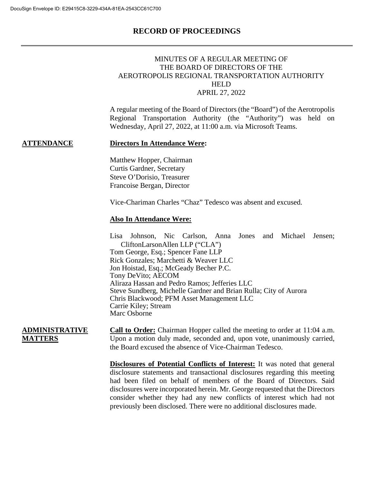#### MINUTES OF A REGULAR MEETING OF THE BOARD OF DIRECTORS OF THE AEROTROPOLIS REGIONAL TRANSPORTATION AUTHORITY HELD APRIL 27, 2022

A regular meeting of the Board of Directors (the "Board") of the Aerotropolis Regional Transportation Authority (the "Authority") was held on Wednesday, April 27, 2022, at 11:00 a.m. via Microsoft Teams.

#### **ATTENDANCE Directors In Attendance Were:**

Matthew Hopper, Chairman Curtis Gardner, Secretary Steve O'Dorisio, Treasurer Francoise Bergan, Director

Vice-Chariman Charles "Chaz" Tedesco was absent and excused.

#### **Also In Attendance Were:**

Lisa Johnson, Nic Carlson, Anna Jones and Michael Jensen; CliftonLarsonAllen LLP ("CLA") Tom George, Esq.; Spencer Fane LLP Rick Gonzales; Marchetti & Weaver LLC Jon Hoistad, Esq.; McGeady Becher P.C. Tony DeVito; AECOM Aliraza Hassan and Pedro Ramos; Jefferies LLC Steve Sundberg, Michelle Gardner and Brian Rulla; City of Aurora Chris Blackwood; PFM Asset Management LLC Carrie Kiley; Stream Marc Osborne

#### **ADMINISTRATIVE MATTERS**

**Call to Order:** Chairman Hopper called the meeting to order at 11:04 a.m. Upon a motion duly made, seconded and, upon vote, unanimously carried, the Board excused the absence of Vice-Chairman Tedesco.

**Disclosures of Potential Conflicts of Interest:** It was noted that general disclosure statements and transactional disclosures regarding this meeting had been filed on behalf of members of the Board of Directors. Said disclosures were incorporated herein. Mr. George requested that the Directors consider whether they had any new conflicts of interest which had not previously been disclosed. There were no additional disclosures made.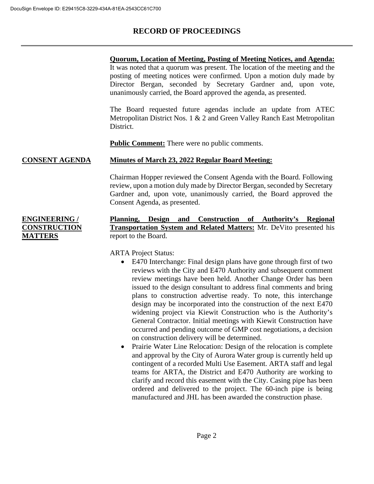**ENGINEERING / CONSTRUCTION** 

**MATTERS** 

## **RECORD OF PROCEEDINGS**

**Quorum, Location of Meeting, Posting of Meeting Notices, and Agenda:** It was noted that a quorum was present. The location of the meeting and the posting of meeting notices were confirmed. Upon a motion duly made by Director Bergan, seconded by Secretary Gardner and, upon vote, unanimously carried, the Board approved the agenda, as presented.

The Board requested future agendas include an update from ATEC Metropolitan District Nos. 1 & 2 and Green Valley Ranch East Metropolitan District.

**Public Comment:** There were no public comments.

#### **CONSENT AGENDA** Minutes of March 23, 2022 Regular Board Meeting:

Chairman Hopper reviewed the Consent Agenda with the Board. Following review, upon a motion duly made by Director Bergan, seconded by Secretary Gardner and, upon vote, unanimously carried, the Board approved the Consent Agenda, as presented.

### **Planning, Design and Construction of Authority's Regional Transportation System and Related Matters:** Mr. DeVito presented his report to the Board.

ARTA Project Status:

- E470 Interchange: Final design plans have gone through first of two reviews with the City and E470 Authority and subsequent comment review meetings have been held. Another Change Order has been issued to the design consultant to address final comments and bring plans to construction advertise ready. To note, this interchange design may be incorporated into the construction of the next E470 widening project via Kiewit Construction who is the Authority's General Contractor. Initial meetings with Kiewit Construction have occurred and pending outcome of GMP cost negotiations, a decision on construction delivery will be determined.
- Prairie Water Line Relocation: Design of the relocation is complete and approval by the City of Aurora Water group is currently held up contingent of a recorded Multi Use Easement. ARTA staff and legal teams for ARTA, the District and E470 Authority are working to clarify and record this easement with the City. Casing pipe has been ordered and delivered to the project. The 60-inch pipe is being manufactured and JHL has been awarded the construction phase.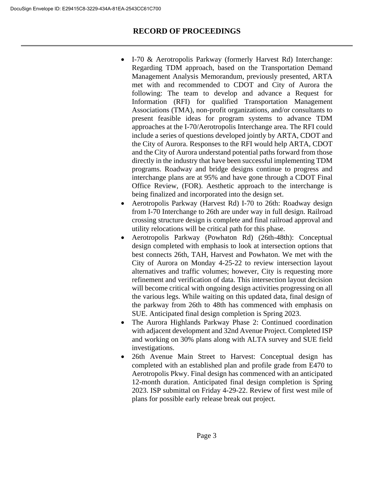- I-70 & Aerotropolis Parkway (formerly Harvest Rd) Interchange: Regarding TDM approach, based on the Transportation Demand Management Analysis Memorandum, previously presented, ARTA met with and recommended to CDOT and City of Aurora the following: The team to develop and advance a Request for Information (RFI) for qualified Transportation Management Associations (TMA), non-profit organizations, and/or consultants to present feasible ideas for program systems to advance TDM approaches at the I-70/Aerotropolis Interchange area. The RFI could include a series of questions developed jointly by ARTA, CDOT and the City of Aurora. Responses to the RFI would help ARTA, CDOT and the City of Aurora understand potential paths forward from those directly in the industry that have been successful implementing TDM programs. Roadway and bridge designs continue to progress and interchange plans are at 95% and have gone through a CDOT Final Office Review, (FOR). Aesthetic approach to the interchange is being finalized and incorporated into the design set.
- Aerotropolis Parkway (Harvest Rd) I-70 to 26th: Roadway design from I-70 Interchange to 26th are under way in full design. Railroad crossing structure design is complete and final railroad approval and utility relocations will be critical path for this phase.
- Aerotropolis Parkway (Powhaton Rd) (26th-48th): Conceptual design completed with emphasis to look at intersection options that best connects 26th, TAH, Harvest and Powhaton. We met with the City of Aurora on Monday 4-25-22 to review intersection layout alternatives and traffic volumes; however, City is requesting more refinement and verification of data. This intersection layout decision will become critical with ongoing design activities progressing on all the various legs. While waiting on this updated data, final design of the parkway from 26th to 48th has commenced with emphasis on SUE. Anticipated final design completion is Spring 2023.
- The Aurora Highlands Parkway Phase 2: Continued coordination with adjacent development and 32nd Avenue Project. Completed ISP and working on 30% plans along with ALTA survey and SUE field investigations.
- 26th Avenue Main Street to Harvest: Conceptual design has completed with an established plan and profile grade from E470 to Aerotropolis Pkwy. Final design has commenced with an anticipated 12-month duration. Anticipated final design completion is Spring 2023. ISP submittal on Friday 4-29-22. Review of first west mile of plans for possible early release break out project.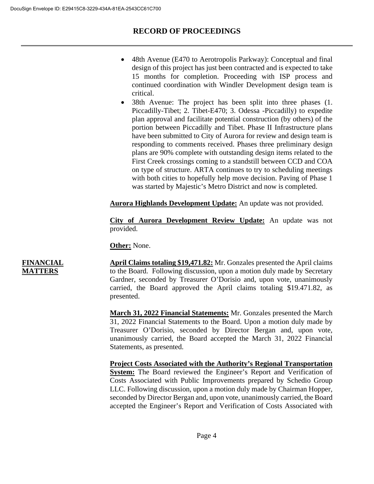- 48th Avenue (E470 to Aerotropolis Parkway): Conceptual and final design of this project has just been contracted and is expected to take 15 months for completion. Proceeding with ISP process and continued coordination with Windler Development design team is critical.
- 38th Avenue: The project has been split into three phases (1. Piccadilly-Tibet; 2. Tibet-E470; 3. Odessa -Piccadilly) to expedite plan approval and facilitate potential construction (by others) of the portion between Piccadilly and Tibet. Phase II Infrastructure plans have been submitted to City of Aurora for review and design team is responding to comments received. Phases three preliminary design plans are 90% complete with outstanding design items related to the First Creek crossings coming to a standstill between CCD and COA on type of structure. ARTA continues to try to scheduling meetings with both cities to hopefully help move decision. Paving of Phase 1 was started by Majestic's Metro District and now is completed.

**Aurora Highlands Development Update:** An update was not provided.

**City of Aurora Development Review Update:** An update was not provided.

**Other:** None.

#### **FINANCIAL MATTERS**

**April Claims totaling \$19,471.82:** Mr. Gonzales presented the April claims to the Board. Following discussion, upon a motion duly made by Secretary Gardner, seconded by Treasurer O'Dorisio and, upon vote, unanimously carried, the Board approved the April claims totaling \$19.471.82, as presented.

**March 31, 2022 Financial Statements:** Mr. Gonzales presented the March 31, 2022 Financial Statements to the Board. Upon a motion duly made by Treasurer O'Dorisio, seconded by Director Bergan and, upon vote, unanimously carried, the Board accepted the March 31, 2022 Financial Statements, as presented.

**Project Costs Associated with the Authority's Regional Transportation System:** The Board reviewed the Engineer's Report and Verification of Costs Associated with Public Improvements prepared by Schedio Group LLC. Following discussion, upon a motion duly made by Chairman Hopper, seconded by Director Bergan and, upon vote, unanimously carried, the Board accepted the Engineer's Report and Verification of Costs Associated with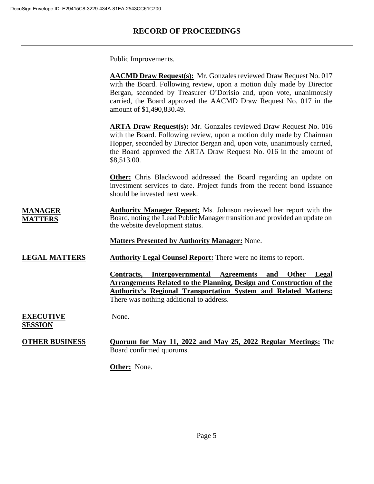Public Improvements.

|                                    | <b>AACMD Draw Request(s):</b> Mr. Gonzales reviewed Draw Request No. 017<br>with the Board. Following review, upon a motion duly made by Director<br>Bergan, seconded by Treasurer O'Dorisio and, upon vote, unanimously<br>carried, the Board approved the AACMD Draw Request No. 017 in the<br>amount of \$1,490,830.49. |
|------------------------------------|----------------------------------------------------------------------------------------------------------------------------------------------------------------------------------------------------------------------------------------------------------------------------------------------------------------------------|
|                                    | <b>ARTA Draw Request(s):</b> Mr. Gonzales reviewed Draw Request No. 016<br>with the Board. Following review, upon a motion duly made by Chairman<br>Hopper, seconded by Director Bergan and, upon vote, unanimously carried,<br>the Board approved the ARTA Draw Request No. 016 in the amount of<br>\$8,513.00.           |
|                                    | <b>Other:</b> Chris Blackwood addressed the Board regarding an update on<br>investment services to date. Project funds from the recent bond issuance<br>should be invested next week.                                                                                                                                      |
| <u>MANAGER</u><br><b>MATTERS</b>   | <b>Authority Manager Report:</b> Ms. Johnson reviewed her report with the<br>Board, noting the Lead Public Manager transition and provided an update on<br>the website development status.                                                                                                                                 |
|                                    | <b>Matters Presented by Authority Manager: None.</b>                                                                                                                                                                                                                                                                       |
| <b>LEGAL MATTERS</b>               | <b>Authority Legal Counsel Report:</b> There were no items to report.                                                                                                                                                                                                                                                      |
|                                    | Intergovernmental Agreements<br><b>Other</b><br>Legal<br>Contracts,<br>and<br><b>Arrangements Related to the Planning, Design and Construction of the</b><br><b>Authority's Regional Transportation System and Related Matters:</b><br>There was nothing additional to address.                                            |
| <b>EXECUTIVE</b><br><u>SESSION</u> | None.                                                                                                                                                                                                                                                                                                                      |
| <b>OTHER BUSINESS</b>              | Quorum for May 11, 2022 and May 25, 2022 Regular Meetings: The<br>Board confirmed quorums.                                                                                                                                                                                                                                 |
|                                    | <b>Other:</b> None.                                                                                                                                                                                                                                                                                                        |
|                                    |                                                                                                                                                                                                                                                                                                                            |